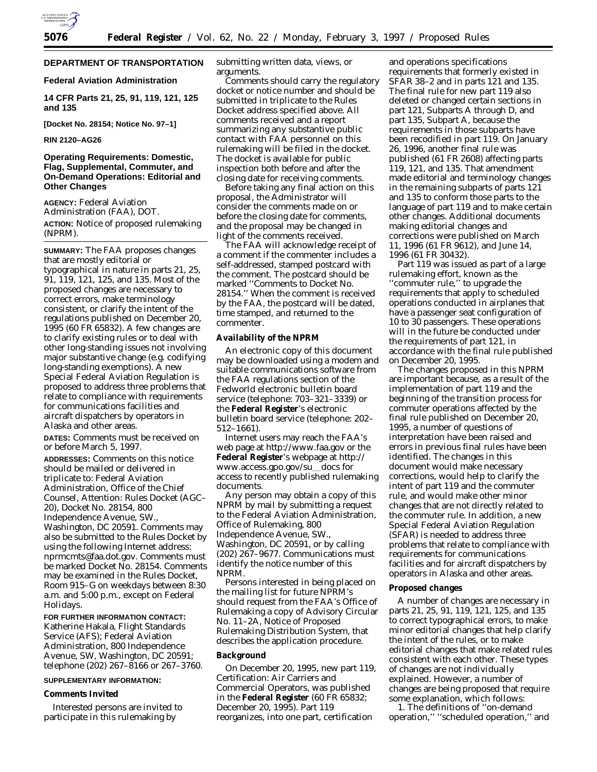

## **DEPARTMENT OF TRANSPORTATION**

## **Federal Aviation Administration**

**14 CFR Parts 21, 25, 91, 119, 121, 125 and 135**

**[Docket No. 28154; Notice No. 97–1]**

**RIN 2120–AG26**

## **Operating Requirements: Domestic, Flag, Supplemental, Commuter, and On-Demand Operations: Editorial and Other Changes**

**AGENCY:** Federal Aviation Administration (FAA), DOT. **ACTION:** Notice of proposed rulemaking (NPRM).

**SUMMARY:** The FAA proposes changes that are mostly editorial or typographical in nature in parts 21, 25, 91, 119, 121, 125, and 135. Most of the proposed changes are necessary to correct errors, make terminology consistent, or clarify the intent of the regulations published on December 20, 1995 (60 FR 65832). A few changes are to clarify existing rules or to deal with other long-standing issues not involving major substantive change (e.g. codifying long-standing exemptions). A new Special Federal Aviation Regulation is proposed to address three problems that relate to compliance with requirements for communications facilities and aircraft dispatchers by operators in Alaska and other areas.

**DATES:** Comments must be received on or before March 5, 1997.

**ADDRESSES:** Comments on this notice should be mailed or delivered in triplicate to: Federal Aviation Administration, Office of the Chief Counsel, Attention: Rules Docket (AGC– 20), Docket No. 28154, 800 Independence Avenue, SW., Washington, DC 20591. Comments may also be submitted to the Rules Docket by using the following Internet address: nprmcmts@faa.dot.gov. Comments must be marked Docket No. 28154. Comments may be examined in the Rules Docket, Room 915–G on weekdays between 8:30 a.m. and 5:00 p.m., except on Federal Holidays.

#### **FOR FURTHER INFORMATION CONTACT:**

Katherine Hakala, Flight Standards Service (AFS); Federal Aviation Administration, 800 Independence Avenue, SW, Washington, DC 20591; telephone (202) 267–8166 or 267–3760.

#### **SUPPLEMENTARY INFORMATION:**

#### **Comments Invited**

Interested persons are invited to participate in this rulemaking by

submitting written data, views, or arguments.

Comments should carry the regulatory docket or notice number and should be submitted in triplicate to the Rules Docket address specified above. All comments received and a report summarizing any substantive public contact with FAA personnel on this rulemaking will be filed in the docket. The docket is available for public inspection both before and after the closing date for receiving comments.

Before taking any final action on this proposal, the Administrator will consider the comments made on or before the closing date for comments, and the proposal may be changed in light of the comments received.

The FAA will acknowledge receipt of a comment if the commenter includes a self-addressed, stamped postcard with the comment. The postcard should be marked ''Comments to Docket No. 28154.'' When the comment is received by the FAA, the postcard will be dated, time stamped, and returned to the commenter.

## **Availability of the NPRM**

An electronic copy of this document may be downloaded using a modem and suitable communications software from the FAA regulations section of the Fedworld electronic bulletin board service (telephone: 703–321–3339) or the **Federal Register**'s electronic bulletin board service (telephone: 202– 512–1661).

Internet users may reach the FAA's web page at http://www.faa.gov or the **Federal Register**'s webpage at http:// www.access.gpo.gov/su\_docs for access to recently published rulemaking documents.

Any person may obtain a copy of this NPRM by mail by submitting a request to the Federal Aviation Administration, Office of Rulemaking, 800 Independence Avenue, SW., Washington, DC 20591, or by calling (202) 267–9677. Communications must identify the notice number of this NPRM.

Persons interested in being placed on the mailing list for future NPRM's should request from the FAA's Office of Rulemaking a copy of Advisory Circular No. 11–2A, Notice of Proposed Rulemaking Distribution System, that describes the application procedure.

#### **Background**

On December 20, 1995, new part 119, Certification: Air Carriers and Commercial Operators, was published in the **Federal Register** (60 FR 65832; December 20, 1995). Part 119 reorganizes, into one part, certification

and operations specifications requirements that formerly existed in SFAR 38–2 and in parts 121 and 135. The final rule for new part 119 also deleted or changed certain sections in part 121, Subparts A through D, and part 135, Subpart A, because the requirements in those subparts have been recodified in part 119. On January 26, 1996, another final rule was published (61 FR 2608) affecting parts 119, 121, and 135. That amendment made editorial and terminology changes in the remaining subparts of parts 121 and 135 to conform those parts to the language of part 119 and to make certain other changes. Additional documents making editorial changes and corrections were published on March 11, 1996 (61 FR 9612), and June 14, 1996 (61 FR 30432).

Part 119 was issued as part of a large rulemaking effort, known as the ''commuter rule,'' to upgrade the requirements that apply to scheduled operations conducted in airplanes that have a passenger seat configuration of 10 to 30 passengers. These operations will in the future be conducted under the requirements of part 121, in accordance with the final rule published on December 20, 1995.

The changes proposed in this NPRM are important because, as a result of the implementation of part 119 and the beginning of the transition process for commuter operations affected by the final rule published on December 20, 1995, a number of questions of interpretation have been raised and errors in previous final rules have been identified. The changes in this document would make necessary corrections, would help to clarify the intent of part 119 and the commuter rule, and would make other minor changes that are not directly related to the commuter rule. In addition, a new Special Federal Aviation Regulation (SFAR) is needed to address three problems that relate to compliance with requirements for communications facilities and for aircraft dispatchers by operators in Alaska and other areas.

## **Proposed changes**

A number of changes are necessary in parts 21, 25, 91, 119, 121, 125, and 135 to correct typographical errors, to make minor editorial changes that help clarify the intent of the rules, or to make editorial changes that make related rules consistent with each other. These types of changes are not individually explained. However, a number of changes are being proposed that require some explanation, which follows:

1. The definitions of ''on-demand operation,'' ''scheduled operation,'' and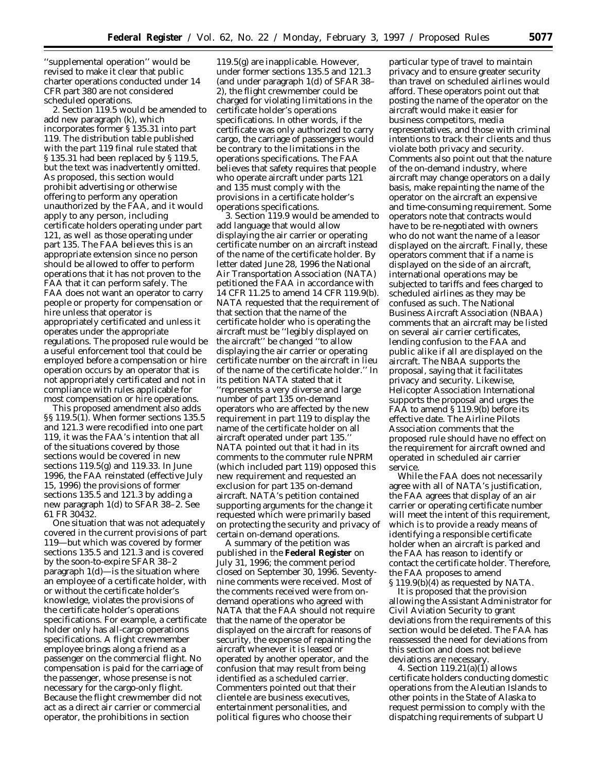''supplemental operation'' would be revised to make it clear that public charter operations conducted under 14 CFR part 380 are not considered scheduled operations.

2. Section 119.5 would be amended to add new paragraph (k), which incorporates former § 135.31 into part 119. The distribution table published with the part 119 final rule stated that § 135.31 had been replaced by § 119.5, but the text was inadvertently omitted. As proposed, this section would prohibit advertising or otherwise offering to perform any operation unauthorized by the FAA, and it would apply to any person, including certificate holders operating under part 121, as well as those operating under part 135. The FAA believes this is an appropriate extension since no person should be allowed to offer to perform operations that it has not proven to the FAA that it can perform safely. The FAA does not want an operator to carry people or property for compensation or hire unless that operator is appropriately certificated and unless it operates under the appropriate regulations. The proposed rule would be a useful enforcement tool that could be employed before a compensation or hire operation occurs by an operator that is not appropriately certificated and not in compliance with rules applicable for most compensation or hire operations.

This proposed amendment also adds §§ 119.5(1). When former sections 135.5 and 121.3 were recodified into one part 119, it was the FAA's intention that all of the situations covered by those sections would be covered in new sections 119.5(g) and 119.33. In June 1996, the FAA reinstated (effective July 15, 1996) the provisions of former sections 135.5 and 121.3 by adding a new paragraph 1(d) to SFAR 38–2. See 61 FR 30432.

One situation that was not adequately covered in the current provisions of part 119—but which was covered by former sections 135.5 and 121.3 and is covered by the soon-to-expire SFAR 38–2 paragraph 1(d)—is the situation where an employee of a certificate holder, with or without the certificate holder's knowledge, violates the provisions of the certificate holder's operations specifications. For example, a certificate holder only has all-cargo operations specifications. A flight crewmember employee brings along a friend as a passenger on the commercial flight. No compensation is paid for the carriage of the passenger, whose presense is not necessary for the cargo-only flight. Because the flight crewmember did not act as a direct air carrier or commercial operator, the prohibitions in section

119.5(g) are inapplicable. However, under former sections 135.5 and 121.3 (and under paragraph 1(d) of SFAR 38– 2), the flight crewmember could be charged for violating limitations in the certificate holder's operations specifications. In other words, if the certificate was only authorized to carry cargo, the carriage of passengers would be contrary to the limitations in the operations specifications. The FAA believes that safety requires that people who operate aircraft under parts 121 and 135 must comply with the provisions in a certificate holder's operations specifications.

3. Section 119.9 would be amended to add language that would allow displaying the air carrier or operating certificate number on an aircraft instead of the name of the certificate holder. By letter dated June 28, 1996 the National Air Transportation Association (NATA) petitioned the FAA in accordance with 14 CFR 11.25 to amend 14 CFR 119.9(b). NATA requested that the requirement of that section that the name of the certificate holder who is operating the aircraft must be ''legibly displayed on the aircraft'' be changed ''to allow displaying the air carrier or operating certificate number on the aircraft in lieu of the name of the certificate holder.'' In its petition NATA stated that it ''represents a very diverse and large number of part 135 on-demand operators who are affected by the new requirement in part 119 to display the name of the certificate holder on all aircraft operated under part 135.'' NATA pointed out that it had in its comments to the commuter rule NPRM (which included part 119) opposed this new requirement and requested an exclusion for part 135 on-demand aircraft. NATA's petition contained supporting arguments for the change it requested which were primarily based on protecting the security and privacy of certain on-demand operations.

A summary of the petition was published in the **Federal Register** on July 31, 1996; the comment period closed on September 30, 1996. Seventynine comments were received. Most of the comments received were from ondemand operations who agreed with NATA that the FAA should not require that the name of the operator be displayed on the aircraft for reasons of security, the expense of repainting the aircraft whenever it is leased or operated by another operator, and the confusion that may result from being identified as a scheduled carrier. Commenters pointed out that their clientele are business executives, entertainment personalities, and political figures who choose their

particular type of travel to maintain privacy and to ensure greater security than travel on scheduled airlines would afford. These operators point out that posting the name of the operator on the aircraft would make it easier for business competitors, media representatives, and those with criminal intentions to track their clients and thus violate both privacy and security. Comments also point out that the nature of the on-demand industry, where aircraft may change operators on a daily basis, make repainting the name of the operator on the aircraft an expensive and time-consuming requirement. Some operators note that contracts would have to be re-negotiated with owners who do not want the name of a leasor displayed on the aircraft. Finally, these operators comment that if a name is displayed on the side of an aircraft, international operations may be subjected to tariffs and fees charged to scheduled airlines as they may be confused as such. The National Business Aircraft Association (NBAA) comments that an aircraft may be listed on several air carrier certificates, lending confusion to the FAA and public alike if all are displayed on the aircraft. The NBAA supports the proposal, saying that it facilitates privacy and security. Likewise, Helicopter Association International supports the proposal and urges the FAA to amend § 119.9(b) before its effective date. The Airline Pilots Association comments that the proposed rule should have no effect on the requirement for aircraft owned and operated in scheduled air carrier service.

While the FAA does not necessarily agree with all of NATA's justification, the FAA agrees that display of an air carrier or operating certificate number will meet the intent of this requirement, which is to provide a ready means of identifying a responsible certificate holder when an aircraft is parked and the FAA has reason to identify or contact the certificate holder. Therefore, the FAA proposes to amend § 119.9(b)(4) as requested by NATA.

It is proposed that the provision allowing the Assistant Administrator for Civil Aviation Security to grant deviations from the requirements of this section would be deleted. The FAA has reassessed the need for deviations from this section and does not believe deviations are necessary.

4. Section  $119.21(a)(1)$  allows certificate holders conducting domestic operations from the Aleutian Islands to other points in the State of Alaska to request permission to comply with the dispatching requirements of subpart U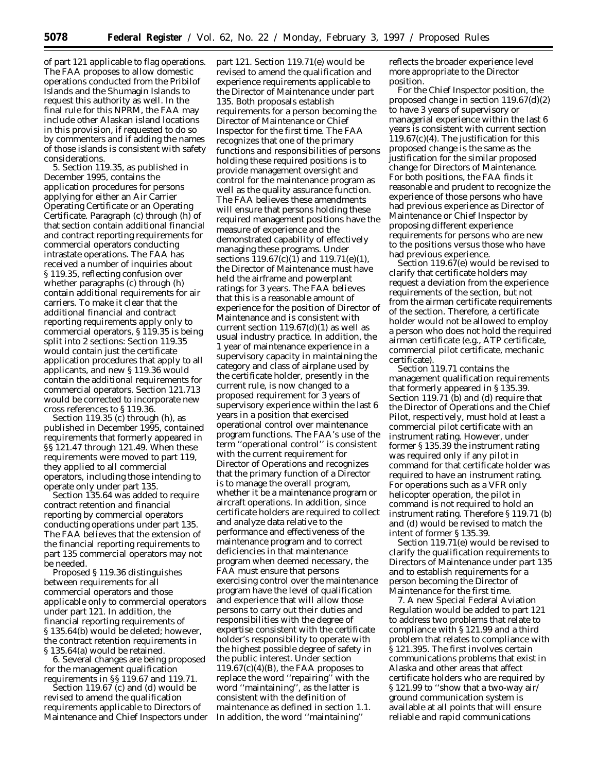of part 121 applicable to flag operations. The FAA proposes to allow domestic operations conducted from the Pribilof Islands and the Shumagin Islands to request this authority as well. In the final rule for this NPRM, the FAA may include other Alaskan island locations in this provision, if requested to do so by commenters and if adding the names of those islands is consistent with safety considerations.

5. Section 119.35, as published in December 1995, contains the application procedures for persons applying for either an Air Carrier Operating Certificate or an Operating Certificate. Paragraph (c) through (h) of that section contain additional financial and contract reporting requirements for commercial operators conducting intrastate operations. The FAA has received a number of inquiries about § 119.35, reflecting confusion over whether paragraphs (c) through (h) contain additional requirements for air carriers. To make it clear that the additional financial and contract reporting requirements apply only to commercial operators, § 119.35 is being split into 2 sections: Section 119.35 would contain just the certificate application procedures that apply to all applicants, and new § 119.36 would contain the additional requirements for commercial operators. Section 121.713 would be corrected to incorporate new cross references to § 119.36.

Section 119.35 (c) through (h), as published in December 1995, contained requirements that formerly appeared in §§ 121.47 through 121.49. When these requirements were moved to part 119, they applied to all commercial operators, including those intending to operate only under part 135.

Section 135.64 was added to require contract retention and financial reporting by commercial operators conducting operations under part 135. The FAA believes that the extension of the financial reporting requirements to part 135 commercial operators may not be needed.

Proposed § 119.36 distinguishes between requirements for all commercial operators and those applicable only to commercial operators under part 121. In addition, the financial reporting requirements of § 135.64(b) would be deleted; however, the contract retention requirements in § 135.64(a) would be retained.

6. Several changes are being proposed for the management qualification requirements in §§ 119.67 and 119.71.

Section 119.67 (c) and (d) would be revised to amend the qualification requirements applicable to Directors of Maintenance and Chief Inspectors under

part 121. Section 119.71(e) would be revised to amend the qualification and experience requirements applicable to the Director of Maintenance under part 135. Both proposals establish requirements for a person becoming the Director of Maintenance or Chief Inspector for the first time. The FAA recognizes that one of the primary functions and responsibilities of persons holding these required positions is to provide management oversight and control for the maintenance program as well as the quality assurance function. The FAA believes these amendments will ensure that persons holding these required management positions have the measure of experience and the demonstrated capability of effectively managing these programs. Under sections 119.67(c)(1) and 119.71(e)(1), the Director of Maintenance must have held the airframe and powerplant ratings for 3 years. The FAA believes that this is a reasonable amount of experience for the position of Director of Maintenance and is consistent with current section  $119.67(d)(1)$  as well as usual industry practice. In addition, the 1 year of maintenance experience in a supervisory capacity in maintaining the category and class of airplane used by the certificate holder, presently in the current rule, is now changed to a proposed requirement for 3 years of supervisory experience within the last 6 years in a position that exercised operational control over maintenance program functions. The FAA's use of the term ''operational control'' is consistent with the current requirement for Director of Operations and recognizes that the primary function of a Director is to manage the overall program, whether it be a maintenance program or aircraft operations. In addition, since certificate holders are required to collect and analyze data relative to the performance and effectiveness of the maintenance program and to correct deficiencies in that maintenance program when deemed necessary, the FAA must ensure that persons exercising control over the maintenance program have the level of qualification and experience that will allow those persons to carry out their duties and responsibilities with the degree of expertise consistent with the certificate holder's responsibility to operate with the highest possible degree of safety in the public interest. Under section  $119.67(c)(4)(B)$ , the FAA proposes to replace the word ''repairing'' with the word ''maintaining'', as the latter is consistent with the definition of maintenance as defined in section 1.1. In addition, the word ''maintaining''

reflects the broader experience level more appropriate to the Director position.

For the Chief Inspector position, the proposed change in section 119.67(d)(2) to have 3 years of supervisory or managerial experience within the last 6 years is consistent with current section 119.67(c)(4). The justification for this proposed change is the same as the justification for the similar proposed change for Directors of Maintenance. For both positions, the FAA finds it reasonable and prudent to recognize the experience of those persons who have had previous experience as Director of Maintenance or Chief Inspector by proposing different experience requirements for persons who are new to the positions versus those who have had previous experience.

Section 119.67(e) would be revised to clarify that certificate holders may request a deviation from the experience requirements of the section, but not from the airman certificate requirements of the section. Therefore, a certificate holder would not be allowed to employ a person who does not hold the required airman certificate (e.g., ATP certificate, commercial pilot certificate, mechanic certificate).

Section 119.71 contains the management qualification requirements that formerly appeared in § 135.39. Section 119.71 (b) and (d) require that the Director of Operations and the Chief Pilot, respectively, must hold at least a commercial pilot certificate with an instrument rating. However, under former § 135.39 the instrument rating was required only if any pilot in command for that certificate holder was required to have an instrument rating. For operations such as a VFR only helicopter operation, the pilot in command is not required to hold an instrument rating. Therefore § 119.71 (b) and (d) would be revised to match the intent of former § 135.39.

Section 119.71(e) would be revised to clarify the qualification requirements to Directors of Maintenance under part 135 and to establish requirements for a person becoming the Director of Maintenance for the first time.

7. A new Special Federal Aviation Regulation would be added to part 121 to address two problems that relate to compliance with § 121.99 and a third problem that relates to compliance with § 121.395. The first involves certain communications problems that exist in Alaska and other areas that affect certificate holders who are required by § 121.99 to ''show that a two-way air/ ground communication system is available at all points that will ensure reliable and rapid communications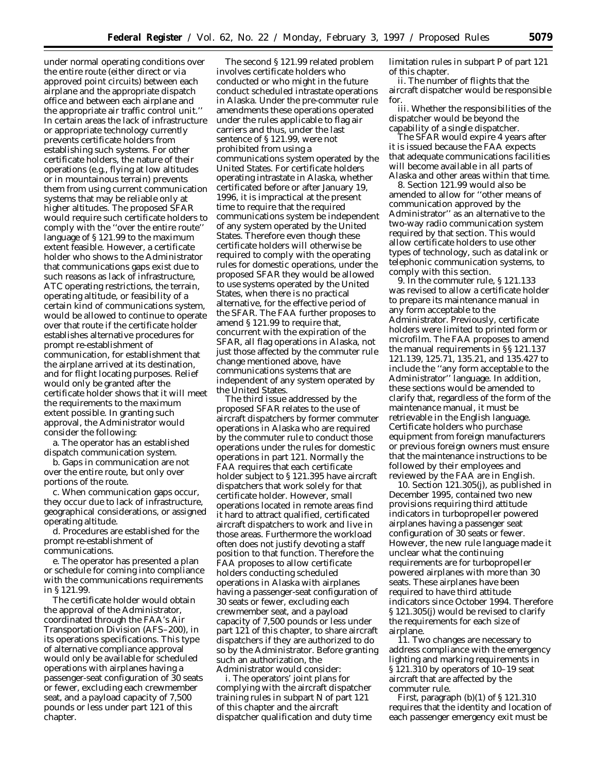under normal operating conditions over the entire route (either direct or via approved point circuits) between each airplane and the appropriate dispatch office and between each airplane and the appropriate air traffic control unit.'' In certain areas the lack of infrastructure or appropriate technology currently prevents certificate holders from establishing such systems. For other certificate holders, the nature of their operations (e.g., flying at low altitudes or in mountainous terrain) prevents them from using current communication systems that may be reliable only at higher altitudes. The proposed SFAR would require such certificate holders to comply with the ''over the entire route'' language of § 121.99 to the maximum extent feasible. However, a certificate holder who shows to the Administrator that communications gaps exist due to such reasons as lack of infrastructure, ATC operating restrictions, the terrain, operating altitude, or feasibility of a certain kind of communications system, would be allowed to continue to operate over that route if the certificate holder establishes alternative procedures for prompt re-establishment of communication, for establishment that the airplane arrived at its destination, and for flight locating purposes. Relief would only be granted after the certificate holder shows that it will meet the requirements to the maximum extent possible. In granting such approval, the Administrator would consider the following:

a. The operator has an established dispatch communication system.

b. Gaps in communication are not over the entire route, but only over portions of the route.

c. When communication gaps occur, they occur due to lack of infrastructure, geographical considerations, or assigned operating altitude.

d. Procedures are established for the prompt re-establishment of communications.

e. The operator has presented a plan or schedule for coming into compliance with the communications requirements in § 121.99.

The certificate holder would obtain the approval of the Administrator, coordinated through the FAA's Air Transportation Division (AFS–200), in its operations specifications. This type of alternative compliance approval would only be available for scheduled operations with airplanes having a passenger-seat configuration of 30 seats or fewer, excluding each crewmember seat, and a payload capacity of 7,500 pounds or less under part 121 of this chapter.

The second § 121.99 related problem involves certificate holders who conducted or who might in the future conduct scheduled intrastate operations in Alaska. Under the pre-commuter rule amendments these operations operated under the rules applicable to flag air carriers and thus, under the last sentence of § 121.99, were not prohibited from using a communications system operated by the United States. For certificate holders operating intrastate in Alaska, whether certificated before or after January 19, 1996, it is impractical at the present time to require that the required communications system be independent of any system operated by the United States. Therefore even though these certificate holders will otherwise be required to comply with the operating rules for domestic operations, under the proposed SFAR they would be allowed to use systems operated by the United States, when there is no practical alternative, for the effective period of the SFAR. The FAA further proposes to amend § 121.99 to require that, concurrent with the expiration of the SFAR, all flag operations in Alaska, not just those affected by the commuter rule change mentioned above, have communications systems that are independent of any system operated by the United States.

The third issue addressed by the proposed SFAR relates to the use of aircraft dispatchers by former commuter operations in Alaska who are required by the commuter rule to conduct those operations under the rules for domestic operations in part 121. Normally the FAA requires that each certificate holder subject to § 121.395 have aircraft dispatchers that work solely for that certificate holder. However, small operations located in remote areas find it hard to attract qualified, certificated aircraft dispatchers to work and live in those areas. Furthermore the workload often does not justify devoting a staff position to that function. Therefore the FAA proposes to allow certificate holders conducting scheduled operations in Alaska with airplanes having a passenger-seat configuration of 30 seats or fewer, excluding each crewmember seat, and a payload capacity of 7,500 pounds or less under part 121 of this chapter, to share aircraft dispatchers if they are authorized to do so by the Administrator. Before granting such an authorization, the Administrator would consider:

i. The operators' joint plans for complying with the aircraft dispatcher training rules in subpart N of part 121 of this chapter and the aircraft dispatcher qualification and duty time limitation rules in subpart P of part 121 of this chapter.

ii. The number of flights that the aircraft dispatcher would be responsible for.

iii. Whether the responsibilities of the dispatcher would be beyond the capability of a single dispatcher.

The SFAR would expire 4 years after it is issued because the FAA expects that adequate communications facilities will become available in all parts of Alaska and other areas within that time.

8. Section 121.99 would also be amended to allow for ''other means of communication approved by the Administrator'' as an alternative to the two-way radio communication system required by that section. This would allow certificate holders to use other types of technology, such as datalink or telephonic communication systems, to comply with this section.

9. In the commuter rule, § 121.133 was revised to allow a certificate holder to prepare its maintenance manual in any form acceptable to the Administrator. Previously, certificate holders were limited to printed form or microfilm. The FAA proposes to amend the manual requirements in §§ 121.137 121.139, 125.71, 135.21, and 135.427 to include the ''any form acceptable to the Administrator'' language. In addition, these sections would be amended to clarify that, regardless of the form of the maintenance manual, it must be retrievable in the English language. Certificate holders who purchase equipment from foreign manufacturers or previous foreign owners must ensure that the maintenance instructions to be followed by their employees and reviewed by the FAA are in English.

10. Section 121.305(j), as published in December 1995, contained two new provisions requiring third attitude indicators in turbopropeller powered airplanes having a passenger seat configuration of 30 seats or fewer. However, the new rule language made it unclear what the continuing requirements are for turbopropeller powered airplanes with more than 30 seats. These airplanes have been required to have third attitude indicators since October 1994. Therefore § 121.305(j) would be revised to clarify the requirements for each size of airplane.

11. Two changes are necessary to address compliance with the emergency lighting and marking requirements in § 121.310 by operators of 10–19 seat aircraft that are affected by the commuter rule.

First, paragraph (b)(1) of § 121.310 requires that the identity and location of each passenger emergency exit must be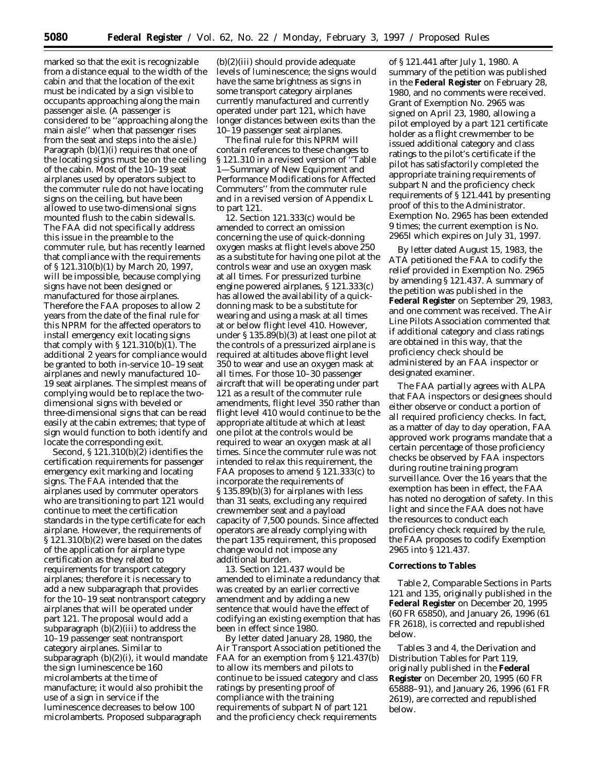marked so that the exit is recognizable from a distance equal to the width of the cabin and that the location of the exit must be indicated by a sign visible to occupants approaching along the main passenger aisle. (A passenger is considered to be ''approaching along the main aisle'' when that passenger rises from the seat and steps into the aisle.) Paragraph  $(b)(1)(i)$  requires that one of the locating signs must be on the ceiling of the cabin. Most of the 10–19 seat airplanes used by operators subject to the commuter rule do not have locating signs on the ceiling, but have been allowed to use two-dimensional signs mounted flush to the cabin sidewalls. The FAA did not specifically address this issue in the preamble to the commuter rule, but has recently learned that compliance with the requirements of § 121.310(b)(1) by March 20, 1997, will be impossible, because complying signs have not been designed or manufactured for those airplanes. Therefore the FAA proposes to allow 2 years from the date of the final rule for this NPRM for the affected operators to install emergency exit locating signs that comply with § 121.310(b)(1). The additional 2 years for compliance would be granted to both in-service 10–19 seat airplanes and newly manufactured 10– 19 seat airplanes. The simplest means of complying would be to replace the twodimensional signs with beveled or three-dimensional signs that can be read easily at the cabin extremes; that type of sign would function to both identify and locate the corresponding exit.

Second, § 121.310(b)(2) identifies the certification requirements for passenger emergency exit marking and locating signs. The FAA intended that the airplanes used by commuter operators who are transitioning to part 121 would continue to meet the certification standards in the type certificate for each airplane. However, the requirements of § 121.310(b)(2) were based on the dates of the application for airplane type certification as they related to requirements for transport category airplanes; therefore it is necessary to add a new subparagraph that provides for the 10–19 seat nontransport category airplanes that will be operated under part 121. The proposal would add a subparagraph  $(b)(2)(iii)$  to address the 10–19 passenger seat nontransport category airplanes. Similar to subparagraph (b)(2)(i), it would mandate the sign luminescence be 160 microlamberts at the time of manufacture; it would also prohibit the use of a sign in service if the luminescence decreases to below 100 microlamberts. Proposed subparagraph

(b)(2)(iii) should provide adequate levels of luminescence; the signs would have the same brightness as signs in some transport category airplanes currently manufactured and currently operated under part 121, which have longer distances between exits than the 10–19 passenger seat airplanes.

The final rule for this NPRM will contain references to these changes to § 121.310 in a revised version of ''Table 1—Summary of New Equipment and Performance Modifications for Affected Commuters'' from the commuter rule and in a revised version of Appendix L to part 121.

12. Section 121.333(c) would be amended to correct an omission concerning the use of quick-donning oxygen masks at flight levels above 250 as a substitute for having one pilot at the controls wear and use an oxygen mask at all times. For pressurized turbine engine powered airplanes, § 121.333(c) has allowed the availability of a quickdonning mask to be a substitute for wearing and using a mask at all times at or below flight level 410. However, under § 135.89(b)(3) at least one pilot at the controls of a pressurized airplane is required at altitudes above flight level 350 to wear and use an oxygen mask at all times. For those 10–30 passenger aircraft that will be operating under part 121 as a result of the commuter rule amendments, flight level 350 rather than flight level 410 would continue to be the appropriate altitude at which at least one pilot at the controls would be required to wear an oxygen mask at all times. Since the commuter rule was not intended to relax this requirement, the FAA proposes to amend § 121.333(c) to incorporate the requirements of § 135.89(b)(3) for airplanes with less than 31 seats, excluding any required crewmember seat and a payload capacity of 7,500 pounds. Since affected operators are already complying with the part 135 requirement, this proposed change would not impose any additional burden.

13. Section 121.437 would be amended to eliminate a redundancy that was created by an earlier corrective amendment and by adding a new sentence that would have the effect of codifying an existing exemption that has been in effect since 1980.

By letter dated January 28, 1980, the Air Transport Association petitioned the FAA for an exemption from § 121.437(b) to allow its members and pilots to continue to be issued category and class ratings by presenting proof of compliance with the training requirements of subpart N of part 121 and the proficiency check requirements

of § 121.441 after July 1, 1980. A summary of the petition was published in the **Federal Register** on February 28, 1980, and no comments were received. Grant of Exemption No. 2965 was signed on April 23, 1980, allowing a pilot employed by a part 121 certificate holder as a flight crewmember to be issued additional category and class ratings to the pilot's certificate if the pilot has satisfactorily completed the appropriate training requirements of subpart N and the proficiency check requirements of § 121.441 by presenting proof of this to the Administrator. Exemption No. 2965 has been extended 9 times; the current exemption is No. 2965I which expires on July 31, 1997.

By letter dated August 15, 1983, the ATA petitioned the FAA to codify the relief provided in Exemption No. 2965 by amending § 121.437. A summary of the petition was published in the **Federal Register** on September 29, 1983, and one comment was received. The Air Line Pilots Association commented that if additional category and class ratings are obtained in this way, that the proficiency check should be administered by an FAA inspector or designated examiner.

The FAA partially agrees with ALPA that FAA inspectors or designees should either observe or conduct a portion of all required proficiency checks. In fact, as a matter of day to day operation, FAA approved work programs mandate that a certain percentage of those proficiency checks be observed by FAA inspectors during routine training program surveillance. Over the 16 years that the exemption has been in effect, the FAA has noted no derogation of safety. In this light and since the FAA does not have the resources to conduct each proficiency check required by the rule, the FAA proposes to codify Exemption 2965 into § 121.437.

## **Corrections to Tables**

Table 2, *Comparable Sections in Parts 121 and 135,* originally published in the **Federal Register** on December 20, 1995 (60 FR 65850), and January 26, 1996 (61 FR 2618), is corrected and republished below.

Tables 3 and 4, the Derivation and Distribution Tables for Part 119, originally published in the **Federal Register** on December 20, 1995 (60 FR 65888–91), and January 26, 1996 (61 FR 2619), are corrected and republished below.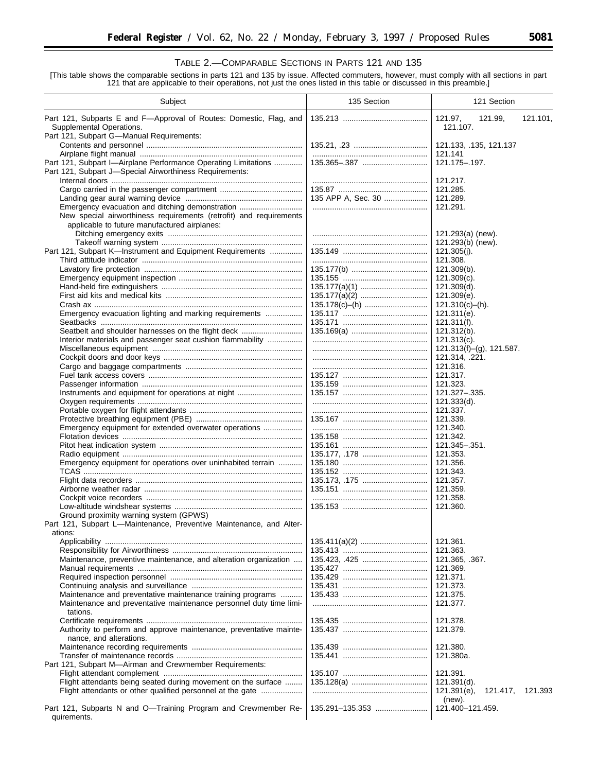## TABLE 2.—COMPARABLE SECTIONS IN PARTS 121 AND 135

[This table shows the comparable sections in parts 121 and 135 by issue. Affected commuters, however, must comply with all sections in part 121 that are applicable to their operations, not just the ones listed in this table or discussed in this preamble.]

| Subject                                                                                                                   | 135 Section        | 121 Section                                  |
|---------------------------------------------------------------------------------------------------------------------------|--------------------|----------------------------------------------|
| Part 121, Subparts E and F-Approval of Routes: Domestic, Flag, and<br>Supplemental Operations.                            |                    | 121.97,<br>121.99,<br>121.101,<br>121.107.   |
| Part 121, Subpart G-Manual Requirements:                                                                                  |                    | 121.133, .135, 121.137                       |
|                                                                                                                           |                    | 121.141                                      |
| Part 121, Subpart I-Airplane Performance Operating Limitations<br>Part 121, Subpart J-Special Airworthiness Requirements: |                    | 121.175-.197.                                |
|                                                                                                                           |                    | 121.217.                                     |
|                                                                                                                           |                    | 121.285.                                     |
|                                                                                                                           | 135 APP A, Sec. 30 | 121.289.                                     |
| Emergency evacuation and ditching demonstration                                                                           |                    | 121.291.                                     |
| New special airworthiness requirements (retrofit) and requirements                                                        |                    |                                              |
| applicable to future manufactured airplanes:                                                                              |                    | 121.293(a) (new).                            |
|                                                                                                                           |                    | 121.293(b) (new).                            |
| Part 121, Subpart K-Instrument and Equipment Requirements                                                                 |                    | $121.305(i)$ .                               |
|                                                                                                                           |                    | 121.308.                                     |
|                                                                                                                           |                    | $121.309(b)$ .                               |
|                                                                                                                           |                    | $121.309(c)$ .                               |
|                                                                                                                           |                    | $121.309(d)$ .                               |
|                                                                                                                           |                    | 121.309(e).                                  |
|                                                                                                                           |                    | $121.310(c)–(h)$ .                           |
| Emergency evacuation lighting and marking requirements                                                                    |                    | 121.311(e).                                  |
|                                                                                                                           |                    | $121.311(f)$ .                               |
| Seatbelt and shoulder harnesses on the flight deck                                                                        |                    | 121.312(b).                                  |
| Interior materials and passenger seat cushion flammability                                                                |                    | 121.313(c).                                  |
|                                                                                                                           |                    | $121.313(f)-(g)$ , 121.587.                  |
|                                                                                                                           |                    | 121.314, .221.                               |
|                                                                                                                           |                    | 121.316.                                     |
|                                                                                                                           |                    | 121.317.                                     |
|                                                                                                                           |                    | 121.323.                                     |
| Instruments and equipment for operations at night                                                                         |                    | 121.327 - . 335.                             |
|                                                                                                                           |                    | 121.333(d).                                  |
|                                                                                                                           |                    | 121.337.<br>121.339.                         |
| Emergency equipment for extended overwater operations                                                                     |                    | 121.340.                                     |
|                                                                                                                           |                    | 121.342.                                     |
|                                                                                                                           |                    | 121.345 - . 351.                             |
|                                                                                                                           |                    | 121.353.                                     |
| Emergency equipment for operations over uninhabited terrain                                                               |                    | 121.356.                                     |
|                                                                                                                           |                    | 121.343.                                     |
|                                                                                                                           |                    | 121.357.                                     |
|                                                                                                                           |                    | 121.359.                                     |
|                                                                                                                           |                    | 121.358.                                     |
|                                                                                                                           |                    | 121.360.                                     |
| Ground proximity warning system (GPWS)                                                                                    |                    |                                              |
| Part 121, Subpart L-Maintenance, Preventive Maintenance, and Alter-                                                       |                    |                                              |
| ations:                                                                                                                   |                    | 121.361.                                     |
|                                                                                                                           |                    | 121.363.                                     |
| Maintenance, preventive maintenance, and alteration organization                                                          |                    | 121.365, .367.                               |
|                                                                                                                           |                    | 121.369.                                     |
|                                                                                                                           |                    | 121.371.                                     |
|                                                                                                                           |                    | 121.373.                                     |
| Maintenance and preventative maintenance training programs                                                                |                    | 121.375.                                     |
| Maintenance and preventative maintenance personnel duty time limi-<br>tations.                                            |                    | 121.377.                                     |
|                                                                                                                           |                    | 121.378.                                     |
| Authority to perform and approve maintenance, preventative mainte-<br>nance, and alterations.                             |                    | 121.379.                                     |
|                                                                                                                           |                    | 121.380.                                     |
|                                                                                                                           |                    | 121.380a.                                    |
| Part 121, Subpart M-Airman and Crewmember Requirements:                                                                   |                    |                                              |
|                                                                                                                           |                    | 121.391.                                     |
| Flight attendants being seated during movement on the surface                                                             |                    | $121.391(d)$ .                               |
| Flight attendants or other qualified personnel at the gate                                                                |                    | 121.391(e),<br>121.393<br>121.417,<br>(new). |
| Part 121, Subparts N and O-Training Program and Crewmember Re-<br>quirements.                                             | 135.291-135.353    | 121.400-121.459.                             |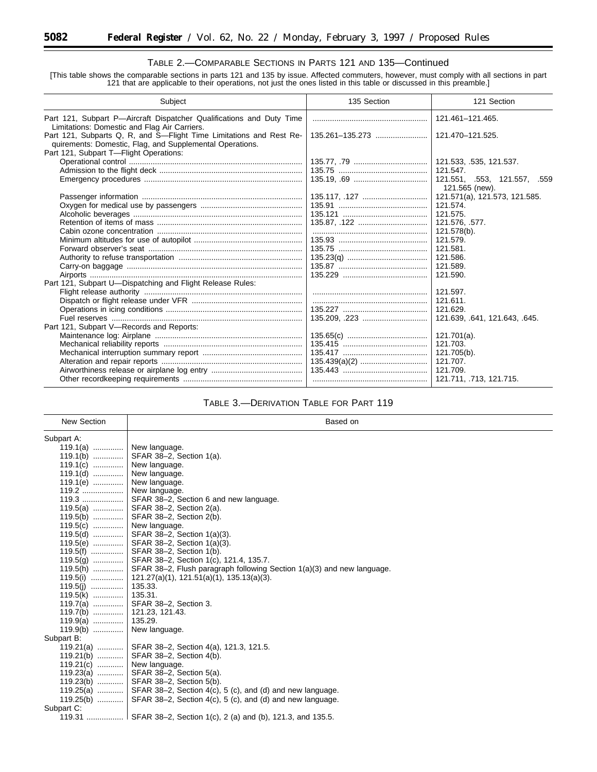## TABLE 2.—COMPARABLE SECTIONS IN PARTS 121 AND 135—Continued

[This table shows the comparable sections in parts 121 and 135 by issue. Affected commuters, however, must comply with all sections in part 121 that are applicable to their operations, not just the ones listed in this table or discussed in this preamble.]

| Subject                                                                                                                         | 135 Section     | 121 Section                                    |
|---------------------------------------------------------------------------------------------------------------------------------|-----------------|------------------------------------------------|
| Part 121, Subpart P-Aircraft Dispatcher Qualifications and Duty Time<br>Limitations: Domestic and Flag Air Carriers.            |                 | 121.461-121.465.                               |
| Part 121, Subparts Q, R, and S-Flight Time Limitations and Rest Re-<br>quirements: Domestic, Flag, and Supplemental Operations. | 135.261-135.273 | 121.470-121.525.                               |
| Part 121, Subpart T-Flight Operations:                                                                                          |                 |                                                |
|                                                                                                                                 |                 | 121.533, .535, 121.537.                        |
|                                                                                                                                 |                 | 121.547.                                       |
|                                                                                                                                 |                 | 121.551, .553, 121.557, .559<br>121.565 (new). |
|                                                                                                                                 | 135.117, .127   | 121.571(a), 121.573, 121.585.                  |
|                                                                                                                                 |                 | 121.574.                                       |
|                                                                                                                                 |                 | 121.575.                                       |
|                                                                                                                                 |                 | 121.576, .577.                                 |
|                                                                                                                                 |                 | 121.578(b).                                    |
|                                                                                                                                 |                 | 121.579.                                       |
|                                                                                                                                 |                 | 121.581.                                       |
|                                                                                                                                 |                 | 121.586.                                       |
|                                                                                                                                 |                 | 121.589.                                       |
|                                                                                                                                 |                 | 121.590.                                       |
| Part 121, Subpart U-Dispatching and Flight Release Rules:                                                                       |                 |                                                |
|                                                                                                                                 |                 | 121.597.                                       |
|                                                                                                                                 |                 | 121.611.                                       |
|                                                                                                                                 |                 | 121.629.                                       |
|                                                                                                                                 |                 | 121.639, 641, 121.643, 645.                    |
| Part 121, Subpart V-Records and Reports:                                                                                        |                 |                                                |
|                                                                                                                                 |                 | $121.701(a)$ .                                 |
|                                                                                                                                 |                 | 121.703.                                       |
|                                                                                                                                 |                 | 121.705(b).                                    |
|                                                                                                                                 |                 | 121.707.                                       |
|                                                                                                                                 |                 | 121.709.                                       |
|                                                                                                                                 |                 | 121.711, .713, 121.715.                        |

## TABLE 3.—DERIVATION TABLE FOR PART 119

| <b>New Section</b> | Based on                                                               |
|--------------------|------------------------------------------------------------------------|
| Subpart A:         |                                                                        |
| $119.1(a)$         | New language.                                                          |
| $119.1(b)$         | SFAR 38-2, Section 1(a).                                               |
| $119.1(c)$         | New language.                                                          |
| $119.1(d)$         | New language.                                                          |
| $119.1(e)$         | New language.                                                          |
| 119.2              | New language.                                                          |
| $119.3$            | SFAR 38-2, Section 6 and new language.                                 |
| $119.5(a)$         | SFAR 38-2, Section 2(a).                                               |
| $119.5(b)$         | SFAR 38-2, Section 2(b).                                               |
| $119.5(c)$         | New language.                                                          |
| $119.5(d)$         | SFAR 38-2, Section 1(a)(3).                                            |
| $119.5(e)$         | SFAR 38-2, Section 1(a)(3).                                            |
| $119.5(f)$         | SFAR 38-2, Section 1(b).                                               |
| $119.5(q)$         | SFAR 38-2, Section 1(c), 121.4, 135.7.                                 |
| $119.5(h)$         | SFAR 38-2, Flush paragraph following Section 1(a)(3) and new language. |
| 119.5(i)           | $121.27(a)(1)$ , $121.51(a)(1)$ , $135.13(a)(3)$ .                     |
| $119.5(j)$         | 135.33.                                                                |
| $119.5(k)$         | 135.31.                                                                |
| 119.7(a)           | SFAR 38-2, Section 3.                                                  |
| $119.7(b)$         | 121.23, 121.43.                                                        |
| $119.9(a)$         | 135.29.                                                                |
| $119.9(b)$         | New language.                                                          |
| Subpart B:         |                                                                        |
| $119.21(a)$        | SFAR 38-2, Section 4(a), 121.3, 121.5.                                 |
| $119.21(b)$        | SFAR 38-2, Section 4(b).                                               |
| $119.21(c)$        | New language.                                                          |
| $119.23(a)$        | SFAR 38-2, Section 5(a).                                               |
| $119.23(b)$        | SFAR 38-2, Section 5(b).                                               |
| 119.25(a)          | SFAR 38-2, Section 4(c), 5 (c), and (d) and new language.              |
| 119.25(b)          | SFAR 38-2, Section 4(c), 5 (c), and (d) and new language.              |
| Subpart C:         |                                                                        |
|                    | 119.31  SFAR 38–2, Section 1(c), 2 (a) and (b), 121.3, and 135.5.      |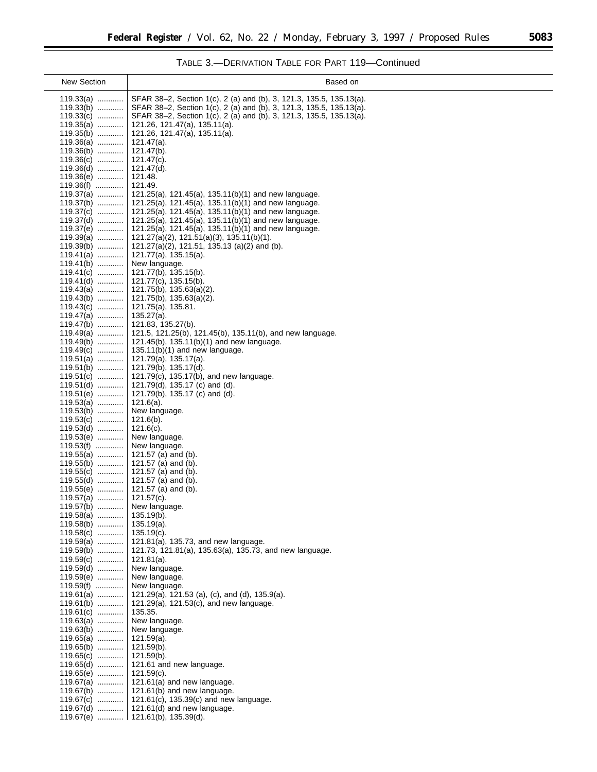$\equiv$ 

# TABLE 3.—DERIVATION TABLE FOR PART 119—Continued

| <b>New Section</b>         | Based on                                                                                                                                   |
|----------------------------|--------------------------------------------------------------------------------------------------------------------------------------------|
| $119.33(a)$                | SFAR 38–2, Section 1(c), 2 (a) and (b), 3, 121.3, 135.5, 135.13(a).                                                                        |
| $119.33(b)$<br>$119.33(c)$ | SFAR 38-2, Section 1(c), 2 (a) and (b), 3, 121.3, 135.5, 135.13(a).<br>SFAR 38-2, Section 1(c), 2 (a) and (b), 3, 121.3, 135.5, 135.13(a). |
| $119.35(a)$                | 121.26, 121.47(a), 135.11(a).                                                                                                              |
| $119.35(b)$                | 121.26, 121.47(a), 135.11(a).                                                                                                              |
| 119.36(a)<br>$119.36(b)$   | $121.47(a)$ .<br>$121.47(b)$ .                                                                                                             |
| $119.36(c)$                | $121.47(c)$ .                                                                                                                              |
| 119.36(d)                  | $121.47(d)$ .                                                                                                                              |
| 119.36(e)<br>119.36(f)     | 121.48.<br>121.49.                                                                                                                         |
| 119.37(a)                  | 121.25(a), 121.45(a), 135.11(b)(1) and new language.                                                                                       |
| $119.37(b)$                | 121.25(a), 121.45(a), 135.11(b)(1) and new language.                                                                                       |
| 119.37(c)<br>$119.37(d)$   | $121.25(a)$ , $121.45(a)$ , $135.11(b)(1)$ and new language.<br>121.25(a), 121.45(a), 135.11(b)(1) and new language.                       |
| 119.37(e)                  | 121.25(a), 121.45(a), 135.11(b)(1) and new language.                                                                                       |
| 119.39(a)                  | $121.27(a)(2)$ , $121.51(a)(3)$ , $135.11(b)(1)$ .                                                                                         |
| 119.39(b)<br>119.41(a)     | 121.27(a)(2), 121.51, 135.13 (a)(2) and (b).<br>121.77(a), 135.15(a).                                                                      |
| $119.41(b)$                | New language.                                                                                                                              |
| $119.41(c)$<br>119.41(d)   | 121.77(b), 135.15(b).<br>121.77(c), 135.15(b).                                                                                             |
| 119.43(a)                  | $121.75(b)$ , $135.63(a)(2)$ .                                                                                                             |
| $119.43(b)$                | 121.75(b), 135.63(a)(2).                                                                                                                   |
| 119.43(c)<br>$119.47(a)$   | 121.75(a), 135.81.<br>$135.27(a)$ .                                                                                                        |
| $119.47(b)$                | 121.83, 135.27(b).                                                                                                                         |
| $119.49(a)$                | 121.5, 121.25(b), 121.45(b), 135.11(b), and new language.                                                                                  |
| $119.49(b)$<br>$119.49(c)$ | 121.45(b), 135.11(b)(1) and new language.<br>$135.11(b)(1)$ and new language.                                                              |
| 119.51(a)                  | 121.79(a), 135.17(a).                                                                                                                      |
| $119.51(b)$                | 121.79(b), 135.17(d).                                                                                                                      |
| 119.51(c)<br>$119.51(d)$   | 121.79(c), 135.17(b), and new language.<br>121.79(d), 135.17 (c) and (d).                                                                  |
| 119.51(e)                  | 121.79(b), 135.17 (c) and (d).                                                                                                             |
| $119.53(a)$<br>$119.53(b)$ | $121.6(a)$ .<br>New language.                                                                                                              |
| $119.53(c)$                | $121.6(b)$ .                                                                                                                               |
| 119.53(d)                  | $121.6(c)$ .                                                                                                                               |
| 119.53(e)<br>$119.53(f)$   | New language.<br>New language.                                                                                                             |
| $119.55(a)$                | 121.57 (a) and (b).                                                                                                                        |
| $119.55(b)$                | 121.57 (a) and (b).                                                                                                                        |
| $119.55(c)$<br>$119.55(d)$ | 121.57 (a) and (b).<br>121.57 (a) and (b).                                                                                                 |
| 119.55(e)                  | 121.57 (a) and (b).                                                                                                                        |
| $119.57(a)$                | $121.57(c)$ .                                                                                                                              |
| 119.57(b)<br>$119.58(a)$   | New language.<br>$135.19(b)$ .                                                                                                             |
| $119.58(b)$                | $135.19(a)$ .                                                                                                                              |
| $119.58(c)$<br>$119.59(a)$ | $135.19(c)$ .<br>121.81(a), 135.73, and new language.                                                                                      |
| 119.59(b)                  | 121.73, 121.81(a), 135.63(a), 135.73, and new language.                                                                                    |
| $119.59(c)$                | $121.81(a)$ .                                                                                                                              |
| 119.59(d)<br>$119.59(e)$   | New language.<br>New language.                                                                                                             |
| 119.59(f)                  | New language.                                                                                                                              |
| 119.61(a)                  | 121.29(a), 121.53 (a), (c), and (d), 135.9(a).                                                                                             |
| $119.61(b)$<br>$119.61(c)$ | 121.29(a), $121.53(c)$ , and new language.<br>135.35.                                                                                      |
| $119.63(a)$                | New language.                                                                                                                              |
| $119.63(b)$                | New language.                                                                                                                              |
| $119.65(a)$<br>$119.65(b)$ | $121.59(a)$ .<br>$121.59(b)$ .                                                                                                             |
| $119.65(c)$                | $121.59(b)$ .                                                                                                                              |
| $119.65(d)$                | 121.61 and new language.                                                                                                                   |
| 119.65(e)<br>$119.67(a)$   | $121.59(c)$ .<br>121.61(a) and new language.                                                                                               |
| $119.67(b)$                | 121.61(b) and new language.                                                                                                                |
| 119.67(c)                  | 121.61(c), 135.39(c) and new language.<br>121.61(d) and new language.                                                                      |
| $119.67(d)$                | 119.67(e) $\ldots$   121.61(b), 135.39(d).                                                                                                 |
|                            |                                                                                                                                            |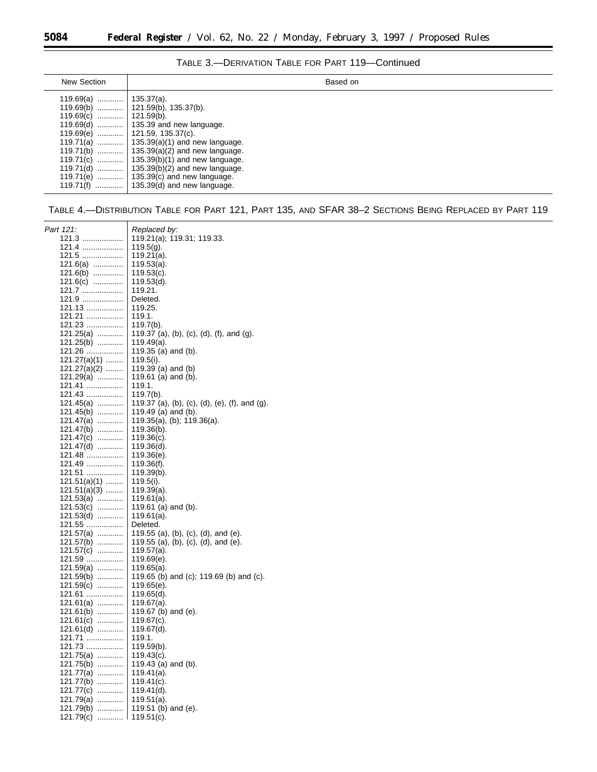۳

| New Section | Based on                                            |
|-------------|-----------------------------------------------------|
|             |                                                     |
|             |                                                     |
|             |                                                     |
|             |                                                     |
|             |                                                     |
|             | 119.71(a) $\ldots$   135.39(a)(1) and new language. |
|             | 119.71(b)    135.39(a)(2) and new language.         |
|             | 119.71(c)    135.39(b)(1) and new language.         |
|             | 119.71(d)    135.39(b)(2) and new language.         |
|             | 119.71(e) $\ldots$   135.39(c) and new language.    |
|             |                                                     |

TABLE 4.—DISTRIBUTION TABLE FOR PART 121, PART 135, AND SFAR 38–2 SECTIONS BEING REPLACED BY PART 119

| Part 121:                | Replaced by:                                  |
|--------------------------|-----------------------------------------------|
| 121.3                    | 119.21(a); 119.31; 119.33.                    |
| $121.4$                  | $119.5(q)$ .                                  |
| 121.5                    | $119.21(a)$ .                                 |
| $121.6(a)$               | $119.53(a)$ .                                 |
| $121.6(b)$               | $119.53(c)$ .                                 |
| $121.6(c)$               | $119.53(d)$ .                                 |
| 121.7                    | 119.21.                                       |
| 121.9                    | Deleted.                                      |
| 121.13                   | 119.25.                                       |
| 121.21                   | 119.1.                                        |
| 121.23                   | $119.7(b)$ .                                  |
| $121.25(a)$              | 119.37 (a), (b), (c), (d), (f), and (g).      |
| 121.25(b)                | 119.49(a).                                    |
| 121.26                   | 119.35 (a) and (b).                           |
| $121.27(a)(1)$           | $119.5(i)$ .                                  |
| $121.27(a)(2)$           | 119.39 (a) and (b)                            |
| $121.29(a)$              | 119.61 (a) and (b).                           |
| 121.41                   | 119.1.                                        |
| 121.43                   | $119.7(b)$ .                                  |
| $121.45(a)$              | 119.37 (a), (b), (c), (d), (e), (f), and (g). |
| $121.45(b)$              | 119.49 (a) and (b).                           |
| $121.47(a)$              | $119.35(a)$ , (b); $119.36(a)$ .              |
| $121.47(b)$              | $119.36(b)$ .                                 |
| $121.47(c)$              | $119.36(c)$ .                                 |
| 121.47(d)                | $119.36(d)$ .                                 |
| 121.48                   | $119.36(e)$ .                                 |
| 121.49                   | $119.36(f)$ .                                 |
| 121.51                   | $119.39(b)$ .                                 |
| $121.51(a)(1)$           | 119.5(i).                                     |
| $121.51(a)(3)$           | $119.39(a)$ .                                 |
| $121.53(a)$              | $119.61(a)$ .                                 |
| 121.53(c)                | 119.61 (a) and (b).                           |
| $121.53(d)$              | $119.61(a)$ .                                 |
| 121.55                   | Deleted.                                      |
| 121.57(a)                | 119.55 (a), (b), (c), (d), and (e).           |
| $121.57(b)$              | 119.55 (a), (b), (c), (d), and (e).           |
| $121.57(c)$              | $119.57(a)$ .                                 |
| 121.59                   | $119.69(e)$ .                                 |
| $121.59(a)$              | $119.65(a)$ .                                 |
| $121.59(b)$              | 119.65 (b) and (c); 119.69 (b) and (c).       |
| $121.59(c)$              | $119.65(e)$ .                                 |
| 121.61                   | $119.65(d)$ .                                 |
| $121.61(a)$              | $119.67(a)$ .                                 |
| $121.61(b)$              | 119.67 (b) and (e).                           |
| 121.61(c)<br>$121.61(d)$ | $119.67(c)$ .<br>$119.67(d)$ .                |
| 121.71                   | 119.1.                                        |
| 121.73                   | $119.59(b)$ .                                 |
| $121.75(a)$              | $119.43(c)$ .                                 |
| 121.75(b)                | 119.43 (a) and (b).                           |
| 121.77(a)                | $119.41(a)$ .                                 |
| $121.77(b)$              | $119.41(c)$ .                                 |
| 121.77(c)                | $119.41(d)$ .                                 |
| $121.79(a)$              | $119.51(a)$ .                                 |
| 121.79(b)                | 119.51 (b) and (e).                           |
| 121.79(c)                | $119.51(c)$ .                                 |
|                          |                                               |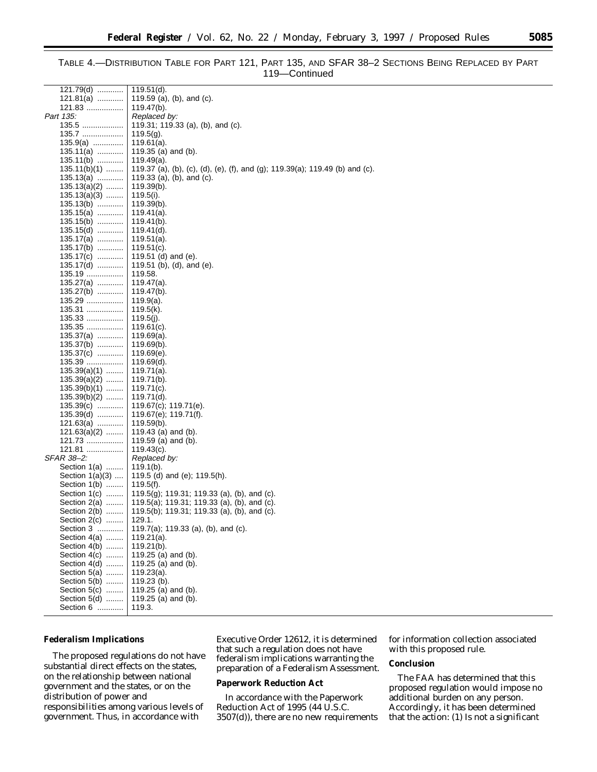## TABLE 4.—DISTRIBUTION TABLE FOR PART 121, PART 135, AND SFAR 38–2 SECTIONS BEING REPLACED BY PART 119—Continued

| $121.79(d)$       | $119.51(d)$ .                                                                |
|-------------------|------------------------------------------------------------------------------|
| $121.81(a)$       | 119.59 (a), (b), and (c).                                                    |
| 121.83            | 119.47(b).                                                                   |
| Part 135:         | Replaced by:                                                                 |
| 135.5             | 119.31; 119.33 (a), (b), and (c).                                            |
| 135.7             | $119.5(g)$ .                                                                 |
| $135.9(a)$        | 119.61(a).                                                                   |
| $135.11(a)$       | 119.35 (a) and (b).                                                          |
| $135.11(b)$       | 119.49(a).                                                                   |
| 135.11(b)(1)      | 119.37 (a), (b), (c), (d), (e), (f), and (g); 119.39(a); 119.49 (b) and (c). |
| $135.13(a)$       | 119.33 (a), (b), and (c).                                                    |
| $135.13(a)(2)$    | 119.39(b).                                                                   |
|                   |                                                                              |
| $135.13(a)(3)$    | 119.5(i).                                                                    |
| $135.13(b)$       | 119.39(b).                                                                   |
| $135.15(a)$       | 119.41(a).                                                                   |
| $135.15(b)$       | 119.41(b).                                                                   |
| $135.15(d)$       | 119.41(d).                                                                   |
| $135.17(a)$       | 119.51(a).                                                                   |
| $135.17(b)$       | $119.51(c)$ .                                                                |
| $135.17(c)$       | 119.51 (d) and (e).                                                          |
| 135.17(d)         | 119.51 (b), (d), and (e).                                                    |
| 135.19            | 119.58.                                                                      |
| 135.27(a)         | 119.47(a).                                                                   |
| $135.27(b)$       | 119.47(b).                                                                   |
| 135.29            | 119.9(a).                                                                    |
| 135.31            | 119.5(k).                                                                    |
| 135.33            | $119.5(j)$ .                                                                 |
| 135.35            | 119.61(c).                                                                   |
| 135.37(a)         | 119.69(a).                                                                   |
| $135.37(b)$       | 119.69(b).                                                                   |
| $135.37(c)$       | 119.69(e).                                                                   |
| 135.39            | 119.69(d).                                                                   |
| $135.39(a)(1)$    | 119.71(a).                                                                   |
| $135.39(a)(2)$    | 119.71(b).                                                                   |
| $135.39(b)(1)$    | 119.71(c).                                                                   |
| $135.39(b)(2)$    | 119.71(d).                                                                   |
| $135.39(c)$       | 119.67(c); 119.71(e).                                                        |
| $135.39(d)$       | 119.67(e); 119.71(f).                                                        |
| 121.63(a)         | 119.59(b).                                                                   |
| $121.63(a)(2)$    | 119.43 (a) and (b).                                                          |
| 121.73            | 119.59 (a) and (b).                                                          |
| <u> 121.81 </u>   | $119.43(c)$ .                                                                |
| SFAR 38-2:        | Replaced by:                                                                 |
| Section 1(a)      | $119.1(b)$ .                                                                 |
| Section $1(a)(3)$ | 119.5 (d) and (e); 119.5(h).                                                 |
| Section 1(b)      | $119.5(f)$ .                                                                 |
| Section 1(c)      | 119.5(g); 119.31; 119.33 (a), (b), and (c).                                  |
| Section 2(a)      | 119.5(a); 119.31; 119.33 (a), (b), and (c).                                  |
| Section 2(b)      | 119.5(b); 119.31; 119.33 (a), (b), and (c).                                  |
| Section 2(c)      | 129.1.                                                                       |
| Section 3         | 119.7(a); 119.33 (a), (b), and (c).                                          |
| Section 4(a)      | $119.21(a)$ .                                                                |
| Section 4(b)      | $119.21(b)$ .                                                                |
| Section 4(c)      | 119.25 (a) and (b).                                                          |
| Section 4(d)      | 119.25 (a) and (b).                                                          |
| Section 5(a)      |                                                                              |
|                   | $119.23(a)$ .<br>119.23 (b).                                                 |
| Section 5(b)      |                                                                              |
| Section 5(c)      | 119.25 (a) and (b).                                                          |
| Section 5(d)      | 119.25 (a) and (b).                                                          |
| Section 6         | 119.3.                                                                       |

#### **Federalism Implications**

The proposed regulations do not have substantial direct effects on the states, on the relationship between national government and the states, or on the distribution of power and responsibilities among various levels of government. Thus, in accordance with

Executive Order 12612, it is determined that such a regulation does not have federalism implications warranting the preparation of a Federalism Assessment.

## **Paperwork Reduction Act**

In accordance with the Paperwork Reduction Act of 1995 (44 U.S.C. 3507(d)), there are no new requirements for information collection associated with this proposed rule.

## **Conclusion**

The FAA has determined that this proposed regulation would impose no additional burden on any person. Accordingly, it has been determined that the action: (1) Is not a significant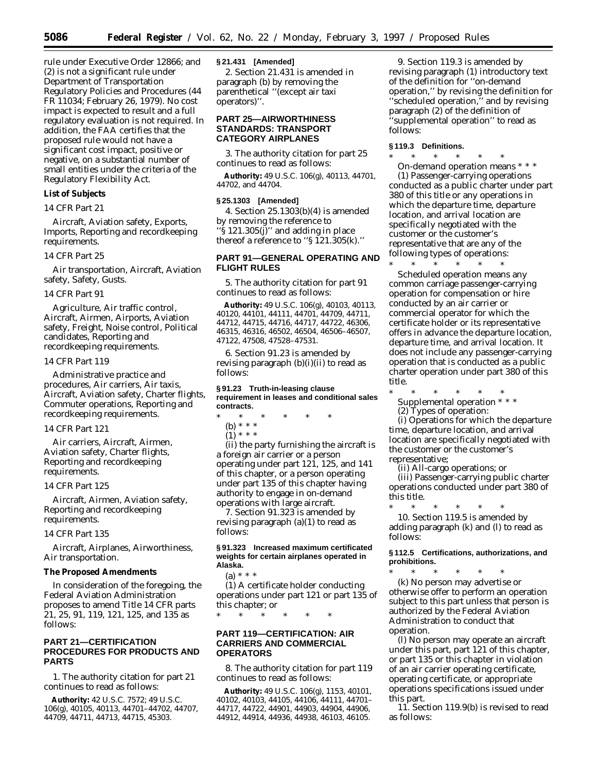rule under Executive Order 12866; and (2) is not a significant rule under Department of Transportation Regulatory Policies and Procedures (44 FR 11034; February 26, 1979). No cost impact is expected to result and a full regulatory evaluation is not required. In addition, the FAA certifies that the proposed rule would not have a significant cost impact, positive or negative, on a substantial number of small entities under the criteria of the Regulatory Flexibility Act.

## **List of Subjects** *14 CFR Part 21*

Aircraft, Aviation safety, Exports, Imports, Reporting and recordkeeping requirements.

#### *14 CFR Part 25*

Air transportation, Aircraft, Aviation safety, Safety, Gusts.

#### *14 CFR Part 91*

Agriculture, Air traffic control, Aircraft, Airmen, Airports, Aviation safety, Freight, Noise control, Political candidates, Reporting and recordkeeping requirements.

#### *14 CFR Part 119*

Administrative practice and procedures, Air carriers, Air taxis, Aircraft, Aviation safety, Charter flights, Commuter operations, Reporting and recordkeeping requirements.

#### *14 CFR Part 121*

Air carriers, Aircraft, Airmen, Aviation safety, Charter flights, Reporting and recordkeeping requirements.

#### *14 CFR Part 125*

Aircraft, Airmen, Aviation safety, Reporting and recordkeeping requirements.

#### *14 CFR Part 135*

Aircraft, Airplanes, Airworthiness, Air transportation.

#### **The Proposed Amendments**

In consideration of the foregoing, the Federal Aviation Administration proposes to amend Title 14 CFR parts 21, 25, 91, 119, 121, 125, and 135 as follows:

## **PART 21—CERTIFICATION PROCEDURES FOR PRODUCTS AND PARTS**

1. The authority citation for part 21 continues to read as follows:

**Authority:** 42 U.S.C. 7572; 49 U.S.C. 106(g), 40105, 40113, 44701–44702, 44707, 44709, 44711, 44713, 44715, 45303.

## **§ 21.431 [Amended]**

2. Section 21.431 is amended in paragraph (b) by removing the parenthetical ''(except air taxi operators)''.

## **PART 25—AIRWORTHINESS STANDARDS: TRANSPORT CATEGORY AIRPLANES**

3. The authority citation for part 25 continues to read as follows:

**Authority:** 49 U.S.C. 106(g), 40113, 44701, 44702, and 44704.

### **§ 25.1303 [Amended]**

4. Section 25.1303(b)(4) is amended by removing the reference to " $\S$  121.305 $(j)$ " and adding in place thereof a reference to "§  $121.305(k)$ ."

## **PART 91—GENERAL OPERATING AND FLIGHT RULES**

5. The authority citation for part 91 continues to read as follows:

**Authority:** 49 U.S.C. 106(g), 40103, 40113, 40120, 44101, 44111, 44701, 44709, 44711, 44712, 44715, 44716, 44717, 44722, 46306, 46315, 46316, 46502, 46504, 46506–46507, 47122, 47508, 47528–47531.

6. Section 91.23 is amended by revising paragraph (b)(i)(ii) to read as follows:

**§ 91.23 Truth-in-leasing clause requirement in leases and conditional sales contracts.**

- \* \* \* \* \* \*
	- (b) \* \* \*  $(1) * * * *$

(ii) the party furnishing the aircraft is a foreign air carrier or a person operating under part 121, 125, and 141 of this chapter, or a person operating under part 135 of this chapter having authority to engage in on-demand operations with large aircraft.

7. Section 91.323 is amended by revising paragraph  $(a)(1)$  to read as follows:

#### **§ 91.323 Increased maximum certificated weights for certain airplanes operated in Alaska.**

(a) \* \* \*

(1) A certificate holder conducting operations under part 121 or part 135 of this chapter; or

\* \* \* \* \* \*

## **PART 119—CERTIFICATION: AIR CARRIERS AND COMMERCIAL OPERATORS**

8. The authority citation for part 119 continues to read as follows:

**Authority:** 49 U.S.C. 106(g), 1153, 40101, 40102, 40103, 44105, 44106, 44111, 44701– 44717, 44722, 44901, 44903, 44904, 44906, 44912, 44914, 44936, 44938, 46103, 46105.

9. Section 119.3 is amended by revising paragraph (1) introductory text of the definition for ''on-demand operation,'' by revising the definition for "scheduled operation," and by revising paragraph (2) of the definition of ''supplemental operation'' to read as follows:

#### **§ 119.3 Definitions.**

\* \* \* \* \* \* *On-demand operation* means \* \* \* (1) Passenger-carrying operations

conducted as a public charter under part 380 of this title or any operations in which the departure time, departure location, and arrival location are specifically negotiated with the customer or the customer's representative that are any of the following types of operations:

\* \* \* \* \* \* *Scheduled operation* means any common carriage passenger-carrying operation for compensation or hire conducted by an air carrier or commercial operator for which the certificate holder or its representative offers in advance the departure location, departure time, and arrival location. It does not include any passenger-carrying operation that is conducted as a public charter operation under part 380 of this title.

\* \* \* \* \* \* *Supplemental operation* \* \* \* (2) Types of operation:

(i) Operations for which the departure time, departure location, and arrival location are specifically negotiated with the customer or the customer's representative;

(ii) All-cargo operations; or

(iii) Passenger-carrying public charter operations conducted under part 380 of this title.

\* \* \* \* \* \* 10. Section 119.5 is amended by adding paragraph (k) and (l) to read as follows:

**§ 112.5 Certifications, authorizations, and prohibitions.**

\* \* \* \* \* \* (k) No person may advertise or otherwise offer to perform an operation subject to this part unless that person is authorized by the Federal Aviation Administration to conduct that operation.

(l) No person may operate an aircraft under this part, part 121 of this chapter, or part 135 or this chapter in violation of an air carrier operating certificate, operating certificate, or appropriate operations specifications issued under this part.

11. Section 119.9(b) is revised to read as follows: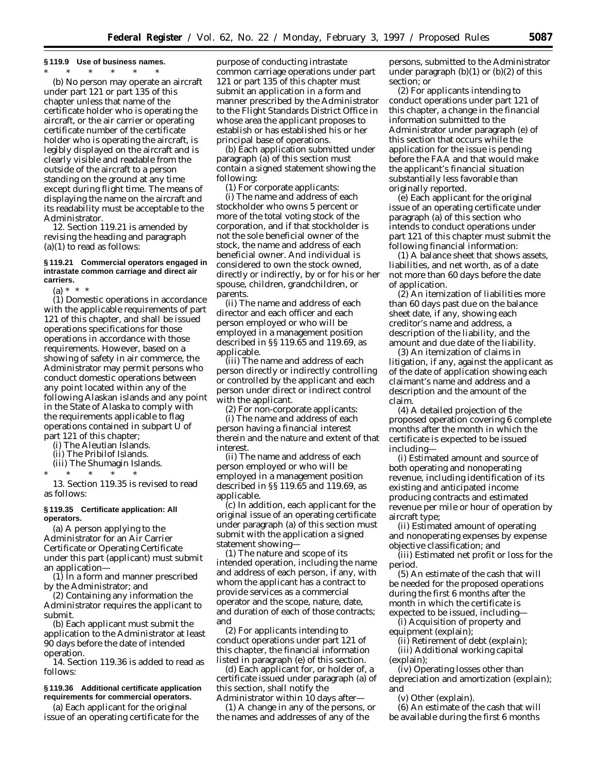#### **§ 119.9 Use of business names.**

\* \* \* \* \* \*

(b) No person may operate an aircraft under part 121 or part 135 of this chapter unless that name of the certificate holder who is operating the aircraft, or the air carrier or operating certificate number of the certificate holder who is operating the aircraft, is legibly displayed on the aircraft and is clearly visible and readable from the outside of the aircraft to a person standing on the ground at any time except during flight time. The means of displaying the name on the aircraft and its readability must be acceptable to the Administrator.

12. Section 119.21 is amended by revising the heading and paragraph  $(a)(1)$  to read as follows:

#### **§ 119.21 Commercial operators engaged in intrastate common carriage and direct air carriers.**

 $(a) * * * *$ 

(1) Domestic operations in accordance with the applicable requirements of part 121 of this chapter, and shall be issued operations specifications for those operations in accordance with those requirements. However, based on a showing of safety in air commerce, the Administrator may permit persons who conduct domestic operations between any point located within any of the following Alaskan islands and any point in the State of Alaska to comply with the requirements applicable to flag operations contained in subpart U of part 121 of this chapter;

(i) The Aleutian Islands.

(ii) The Pribilof Islands.

(iii) The Shumagin Islands.

\* \* \* \* \*

13. Section 119.35 is revised to read as follows:

## **§ 119.35 Certificate application: All operators.**

(a) A person applying to the Administrator for an Air Carrier Certificate or Operating Certificate under this part (applicant) must submit an application—

(1) In a form and manner prescribed by the Administrator; and

(2) Containing any information the Administrator requires the applicant to submit.

(b) Each applicant must submit the application to the Administrator at least 90 days before the date of intended operation.

14. Section 119.36 is added to read as follows:

#### **§ 119.36 Additional certificate application requirements for commercial operators.**

(a) Each applicant for the original issue of an operating certificate for the purpose of conducting intrastate common carriage operations under part 121 or part 135 of this chapter must submit an application in a form and manner prescribed by the Administrator to the Flight Standards District Office in whose area the applicant proposes to establish or has established his or her principal base of operations.

(b) Each application submitted under paragraph (a) of this section must contain a signed statement showing the following:

(1) For corporate applicants:

(i) The name and address of each stockholder who owns 5 percent or more of the total voting stock of the corporation, and if that stockholder is not the sole beneficial owner of the stock, the name and address of each beneficial owner. And individual is considered to own the stock owned, directly or indirectly, by or for his or her spouse, children, grandchildren, or parents.

(ii) The name and address of each director and each officer and each person employed or who will be employed in a management position described in §§ 119.65 and 119.69, as applicable.

(iii) The name and address of each person directly or indirectly controlling or controlled by the applicant and each person under direct or indirect control with the applicant.

(2) For non-corporate applicants:

(i) The name and address of each person having a financial interest therein and the nature and extent of that interest.

(ii) The name and address of each person employed or who will be employed in a management position described in §§ 119.65 and 119.69, as applicable.

(c) In addition, each applicant for the original issue of an operating certificate under paragraph (a) of this section must submit with the application a signed statement showing—

(1) The nature and scope of its intended operation, including the name and address of each person, if any, with whom the applicant has a contract to provide services as a commercial operator and the scope, nature, date, and duration of each of those contracts; and

(2) For applicants intending to conduct operations under part 121 of this chapter, the financial information listed in paragraph (e) of this section.

(d) Each applicant for, or holder of, a certificate issued under paragraph (a) of this section, shall notify the Administrator within 10 days after—

(1) A change in any of the persons, or the names and addresses of any of the

persons, submitted to the Administrator under paragraph  $(b)(1)$  or  $(b)(2)$  of this section; or

(2) For applicants intending to conduct operations under part 121 of this chapter, a change in the financial information submitted to the Administrator under paragraph (e) of this section that occurs while the application for the issue is pending before the FAA and that would make the applicant's financial situation substantially less favorable than originally reported.

(e) Each applicant for the original issue of an operating certificate under paragraph (a) of this section who intends to conduct operations under part 121 of this chapter must submit the following financial information:

(1) A balance sheet that shows assets, liabilities, and net worth, as of a date not more than 60 days before the date of application.

(2) An itemization of liabilities more than 60 days past due on the balance sheet date, if any, showing each creditor's name and address, a description of the liability, and the amount and due date of the liability.

(3) An itemization of claims in litigation, if any, against the applicant as of the date of application showing each claimant's name and address and a description and the amount of the claim.

(4) A detailed projection of the proposed operation covering 6 complete months after the month in which the certificate is expected to be issued including—

(i) Estimated amount and source of both operating and nonoperating revenue, including identification of its existing and anticipated income producing contracts and estimated revenue per mile or hour of operation by aircraft type;

(ii) Estimated amount of operating and nonoperating expenses by expense objective classification; and

(iii) Estimated net profit or loss for the period.

(5) An estimate of the cash that will be needed for the proposed operations during the first 6 months after the month in which the certificate is expected to be issued, including—

(i) Acquisition of property and equipment (explain);

(ii) Retirement of debt (explain);

(iii) Additional working capital (explain);

(iv) Operating losses other than depreciation and amortization (explain); and

(v) Other (explain).

(6) An estimate of the cash that will be available during the first 6 months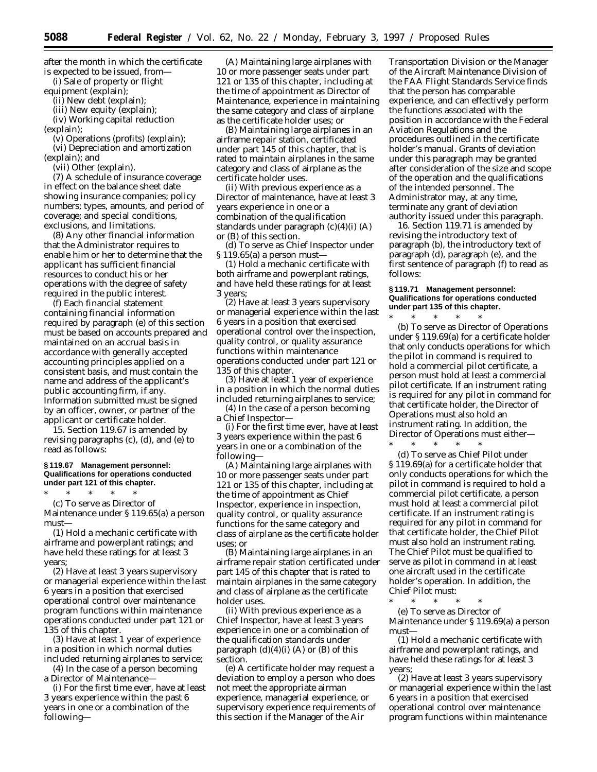after the month in which the certificate is expected to be issued, from—

(i) Sale of property or flight

equipment (explain);

(ii) New debt (explain); (iii) New equity (explain);

(iv) Working capital reduction

(explain);

(v) Operations (profits) (explain);

(vi) Depreciation and amortization (explain); and

(vii) Other (explain).

(7) A schedule of insurance coverage in effect on the balance sheet date showing insurance companies; policy numbers; types, amounts, and period of coverage; and special conditions, exclusions, and limitations.

(8) Any other financial information that the Administrator requires to enable him or her to determine that the applicant has sufficient financial resources to conduct his or her operations with the degree of safety required in the public interest.

(f) Each financial statement containing financial information required by paragraph (e) of this section must be based on accounts prepared and maintained on an accrual basis in accordance with generally accepted accounting principles applied on a consistent basis, and must contain the name and address of the applicant's public accounting firm, if any. Information submitted must be signed by an officer, owner, or partner of the applicant or certificate holder.

15. Section 119.67 is amended by revising paragraphs (c), (d), and (e) to read as follows:

#### **§ 119.67 Management personnel: Qualifications for operations conducted under part 121 of this chapter.**

\* \* \* \* \* (c) To serve as Director of Maintenance under § 119.65(a) a person must—

(1) Hold a mechanic certificate with airframe and powerplant ratings; and have held these ratings for at least 3 years;

(2) Have at least 3 years supervisory or managerial experience within the last 6 years in a position that exercised operational control over maintenance program functions within maintenance operations conducted under part 121 or 135 of this chapter.

(3) Have at least 1 year of experience in a position in which normal duties included returning airplanes to service;

(4) In the case of a person becoming a Director of Maintenance-

(i) For the first time ever, have at least 3 years experience within the past 6 years in one or a combination of the following—

(A) Maintaining large airplanes with 10 or more passenger seats under part 121 or 135 of this chapter, including at the time of appointment as Director of Maintenance, experience in maintaining the same category and class of airplane as the certificate holder uses; or

(B) Maintaining large airplanes in an airframe repair station, certificated under part 145 of this chapter, that is rated to maintain airplanes in the same category and class of airplane as the certificate holder uses.

(ii) With previous experience as a Director of maintenance, have at least 3 years experience in one or a combination of the qualification standards under paragraph (c)(4)(i) (A) or (B) of this section.

(d) To serve as Chief Inspector under § 119.65(a) a person must-

(1) Hold a mechanic certificate with both airframe and powerplant ratings, and have held these ratings for at least 3 years;

(2) Have at least 3 years supervisory or managerial experience within the last 6 years in a position that exercised operational control over the inspection, quality control, or quality assurance functions within maintenance operations conducted under part 121 or 135 of this chapter.

(3) Have at least 1 year of experience in a position in which the normal duties included returning airplanes to service;

(4) In the case of a person becoming a Chief Inspector—

(i) For the first time ever, have at least 3 years experience within the past 6 years in one or a combination of the following—

(A) Maintaining large airplanes with 10 or more passenger seats under part 121 or 135 of this chapter, including at the time of appointment as Chief Inspector, experience in inspection, quality control, or quality assurance functions for the same category and class of airplane as the certificate holder uses; or

(B) Maintaining large airplanes in an airframe repair station certificated under part 145 of this chapter that is rated to maintain airplanes in the same category and class of airplane as the certificate holder uses.

(ii) With previous experience as a Chief Inspector, have at least 3 years experience in one or a combination of the qualification standards under paragraph  $(d)(4)(i)$  (A) or  $(B)$  of this section.

(e) A certificate holder may request a deviation to employ a person who does not meet the appropriate airman experience, managerial experience, or supervisory experience requirements of this section if the Manager of the Air

Transportation Division or the Manager of the Aircraft Maintenance Division of the FAA Flight Standards Service finds that the person has comparable experience, and can effectively perform the functions associated with the position in accordance with the Federal Aviation Regulations and the procedures outlined in the certificate holder's manual. Grants of deviation under this paragraph may be granted after consideration of the size and scope of the operation and the qualifications of the intended personnel. The Administrator may, at any time, terminate any grant of deviation authority issued under this paragraph.

16. Section 119.71 is amended by revising the introductory text of paragraph (b), the introductory text of paragraph (d), paragraph (e), and the first sentence of paragraph (f) to read as follows:

#### **§ 119.71 Management personnel: Qualifications for operations conducted under part 135 of this chapter.**

\* \* \* \* \* (b) To serve as Director of Operations under § 119.69(a) for a certificate holder that only conducts operations for which the pilot in command is required to hold a commercial pilot certificate, a person must hold at least a commercial pilot certificate. If an instrument rating is required for any pilot in command for that certificate holder, the Director of Operations must also hold an instrument rating. In addition, the Director of Operations must either—

\* \* \* \* \* (d) To serve as Chief Pilot under § 119.69(a) for a certificate holder that only conducts operations for which the pilot in command is required to hold a commercial pilot certificate, a person must hold at least a commercial pilot certificate. If an instrument rating is required for any pilot in command for that certificate holder, the Chief Pilot must also hold an instrument rating. The Chief Pilot must be qualified to serve as pilot in command in at least one aircraft used in the certificate holder's operation. In addition, the Chief Pilot must:

\* \* \* \* \* (e) To serve as Director of Maintenance under § 119.69(a) a person must—

(1) Hold a mechanic certificate with airframe and powerplant ratings, and have held these ratings for at least 3 years;

(2) Have at least 3 years supervisory or managerial experience within the last 6 years in a position that exercised operational control over maintenance program functions within maintenance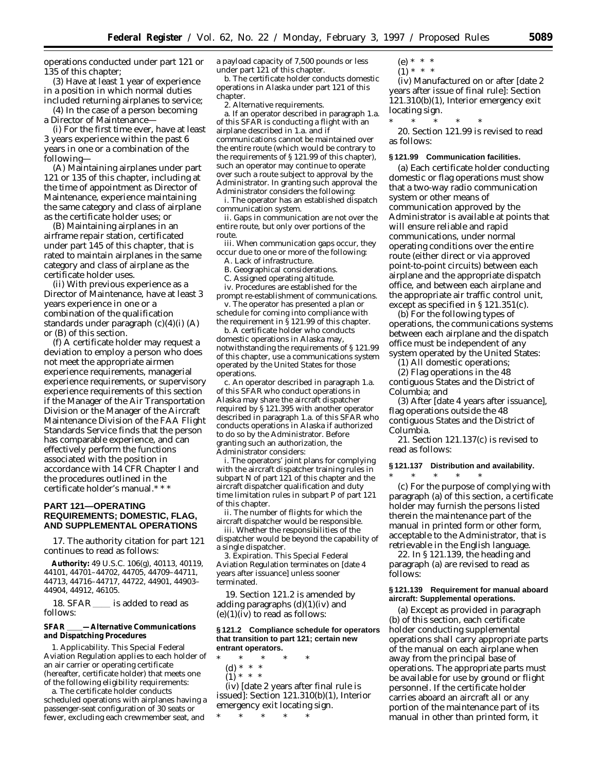operations conducted under part 121 or 135 of this chapter;

(3) Have at least 1 year of experience in a position in which normal duties included returning airplanes to service;

(4) In the case of a person becoming a Director of Maintenance—

(i) For the first time ever, have at least 3 years experience within the past 6 years in one or a combination of the following—

(A) Maintaining airplanes under part 121 or 135 of this chapter, including at the time of appointment as Director of Maintenance, experience maintaining the same category and class of airplane as the certificate holder uses; or

(B) Maintaining airplanes in an airframe repair station, certificated under part 145 of this chapter, that is rated to maintain airplanes in the same category and class of airplane as the certificate holder uses.

(ii) With previous experience as a Director of Maintenance, have at least 3 years experience in one or a combination of the qualification standards under paragraph  $(c)(4)(i)$  (A) or (B) of this section.

(f) A certificate holder may request a deviation to employ a person who does not meet the appropriate airmen experience requirements, managerial experience requirements, or supervisory experience requirements of this section if the Manager of the Air Transportation Division or the Manager of the Aircraft Maintenance Division of the FAA Flight Standards Service finds that the person has comparable experience, and can effectively perform the functions associated with the position in accordance with 14 CFR Chapter I and the procedures outlined in the certificate holder's manual.\* \* \*

## **PART 121—OPERATING REQUIREMENTS; DOMESTIC, FLAG, AND SUPPLEMENTAL OPERATIONS**

17. The authority citation for part 121 continues to read as follows:

**Authority:** 49 U.S.C. 106(g), 40113, 40119, 44101, 44701–44702, 44705, 44709–44711, 44713, 44716–44717, 44722, 44901, 44903– 44904, 44912, 46105.

18. SFAR \_\_\_\_ is added to read as follows:

**SFAR** \_\_\_\_-Alternative Communications **and Dispatching Procedures**

1. *Applicability.* This Special Federal Aviation Regulation applies to each holder of an air carrier or operating certificate (hereafter, certificate holder) that meets one of the following eligibility requirements:

a. The certificate holder conducts scheduled operations with airplanes having a passenger-seat configuration of 30 seats or fewer, excluding each crewmember seat, and

a payload capacity of 7,500 pounds or less under part 121 of this chapter.

b. The certificate holder conducts domestic operations in Alaska under part 121 of this chapter.

2. *Alternative requirements.*

a. If an operator described in paragraph 1.a. of this SFAR is conducting a flight with an airplane described in 1.a. and if communications cannot be maintained over the entire route (which would be contrary to the requirements of § 121.99 of this chapter), such an operator may continue to operate over such a route subject to approval by the Administrator. In granting such approval the Administrator considers the following:

i. The operator has an established dispatch communication system.

ii. Gaps in communication are not over the entire route, but only over portions of the route.

iii. When communication gaps occur, they occur due to one or more of the following:

A. Lack of infrastructure.

B. Geographical considerations.

C. Assigned operating altitude.

iv. Procedures are established for the prompt re-establishment of communications. v. The operator has presented a plan or

schedule for coming into compliance with the requirement in  $\tilde{\S}$  121.99 of this chapter.

b. A certificate holder who conducts domestic operations in Alaska may, notwithstanding the requirements of § 121.99 of this chapter, use a communications system operated by the United States for those operations.

c. An operator described in paragraph 1.a. of this SFAR who conduct operations in Alaska may share the aircraft dispatcher required by § 121.395 with another operator described in paragraph 1.a. of this SFAR who conducts operations in Alaska if authorized to do so by the Administrator. Before granting such an authorization, the Administrator considers:

i. The operators' joint plans for complying with the aircraft dispatcher training rules in subpart N of part 121 of this chapter and the aircraft dispatcher qualification and duty time limitation rules in subpart P of part 121 of this chapter.

ii. The number of flights for which the aircraft dispatcher would be responsible.

iii. Whether the responsibilities of the dispatcher would be beyond the capability of a single dispatcher.

3. *Expiration.* This Special Federal Aviation Regulation terminates on [date 4 years after issuance] unless sooner terminated.

19. Section 121.2 is amended by adding paragraphs  $(d)(1)(iv)$  and  $(e)(1)(iv)$  to read as follows:

#### **§ 121.2 Compliance schedule for operators that transition to part 121; certain new entrant operators.**

\* \* \* \* \*

- (d) \* \* \*
- $\binom{1}{1}$  \* \* \*

(iv) [date 2 years after final rule is issued]: Section 121.310(b)(1), Interior emergency exit locating sign.

\* \* \* \* \*

(e) \* \* \*  $(1) * * * *$ 

(iv) Manufactured on or after [date 2 years after issue of final rule]: Section 121.310(b)(1), Interior emergency exit locating sign.

\* \* \* \* \*

20. Section 121.99 is revised to read as follows:

#### **§ 121.99 Communication facilities.**

(a) Each certificate holder conducting domestic or flag operations must show that a two-way radio communication system or other means of communication approved by the Administrator is available at points that will ensure reliable and rapid communications, under normal operating conditions over the entire route (either direct or via approved point-to-point circuits) between each airplane and the appropriate dispatch office, and between each airplane and the appropriate air traffic control unit, except as specified in § 121.351(c).

(b) For the following types of operations, the communications systems between each airplane and the dispatch office must be independent of any system operated by the United States:

(1) All domestic operations;

(2) Flag operations in the 48 contiguous States and the District of Columbia; and

(3) After [date 4 years after issuance], flag operations outside the 48 contiguous States and the District of Columbia.

21. Section 121.137(c) is revised to read as follows:

#### **§ 121.137 Distribution and availability.**

\* \* \* \* \* (c) For the purpose of complying with paragraph (a) of this section, a certificate holder may furnish the persons listed therein the maintenance part of the manual in printed form or other form, acceptable to the Administrator, that is

retrievable in the English language. 22. In § 121.139, the heading and paragraph (a) are revised to read as follows:

#### **§ 121.139 Requirement for manual aboard aircraft: Supplemental operations.**

(a) Except as provided in paragraph (b) of this section, each certificate holder conducting supplemental operations shall carry appropriate parts of the manual on each airplane when away from the principal base of operations. The appropriate parts must be available for use by ground or flight personnel. If the certificate holder carries aboard an aircraft all or any portion of the maintenance part of its manual in other than printed form, it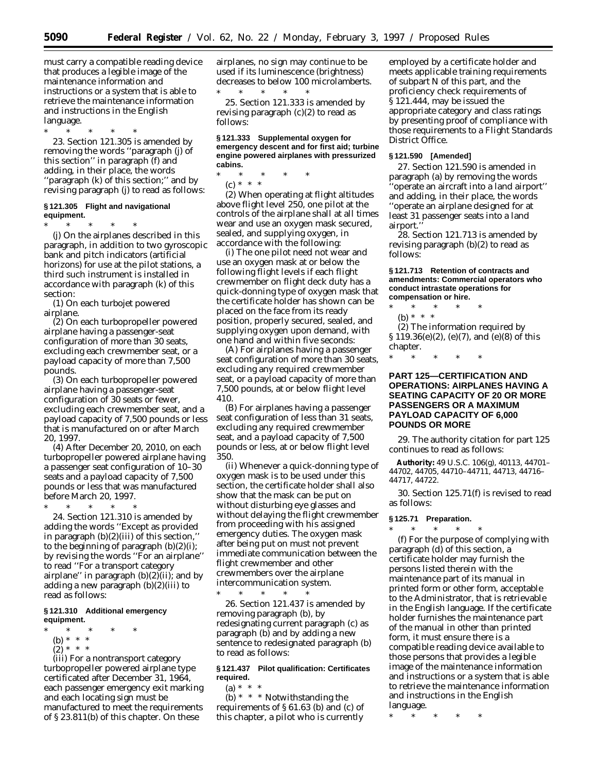must carry a compatible reading device that produces a legible image of the maintenance information and instructions or a system that is able to retrieve the maintenance information and instructions in the English language.

\* \* \* \* \* 23. Section 121.305 is amended by removing the words ''paragraph (j) of this section'' in paragraph (f) and adding, in their place, the words ''paragraph (k) of this section;'' and by revising paragraph (j) to read as follows:

## **§ 121.305 Flight and navigational equipment.**

\* \* \* \* \* (j) On the airplanes described in this paragraph, in addition to two gyroscopic bank and pitch indicators (artificial horizons) for use at the pilot stations, a third such instrument is installed in accordance with paragraph (k) of this section:

(1) On each turbojet powered airplane.

(2) On each turbopropeller powered airplane having a passenger-seat configuration of more than 30 seats, excluding each crewmember seat, or a payload capacity of more than 7,500 pounds.

(3) On each turbopropeller powered airplane having a passenger-seat configuration of 30 seats or fewer, excluding each crewmember seat, and a payload capacity of 7,500 pounds or less that is manufactured on or after March 20, 1997.

(4) After December 20, 2010, on each turbopropeller powered airplane having a passenger seat configuration of 10–30 seats and a payload capacity of 7,500 pounds or less that was manufactured before March 20, 1997.

\* \* \* \* \* 24. Section 121.310 is amended by adding the words ''Except as provided in paragraph (b)(2)(iii) of this section,'' to the beginning of paragraph (b)(2)(i); by revising the words ''For an airplane'' to read ''For a transport category airplane" in paragraph  $(b)(2)(ii)$ ; and by adding a new paragraph (b)(2)(iii) to read as follows:

#### **§ 121.310 Additional emergency equipment.**

- \* \* \* \* \*
	- (b) \* \* \*
	- $(2) * * * *$

(iii) For a nontransport category turbopropeller powered airplane type certificated after December 31, 1964, each passenger emergency exit marking and each locating sign must be manufactured to meet the requirements of § 23.811(b) of this chapter. On these

airplanes, no sign may continue to be used if its luminescence (brightness) decreases to below 100 microlamberts.

\* \* \* \* \* 25. Section 121.333 is amended by revising paragraph (c)(2) to read as follows:

**§ 121.333 Supplemental oxygen for emergency descent and for first aid; turbine engine powered airplanes with pressurized cabins.**

\* \* \* \* \*

(c) \* \* \* (2) When operating at flight altitudes above flight level 250, one pilot at the controls of the airplane shall at all times wear and use an oxygen mask secured, sealed, and supplying oxygen, in

accordance with the following: (i) The one pilot need not wear and use an oxygen mask at or below the following flight levels if each flight crewmember on flight deck duty has a quick-donning type of oxygen mask that the certificate holder has shown can be placed on the face from its ready position, properly secured, sealed, and supplying oxygen upon demand, with one hand and within five seconds:

(A) For airplanes having a passenger seat configuration of more than 30 seats, excluding any required crewmember seat, or a payload capacity of more than 7,500 pounds, at or below flight level 410.

(B) For airplanes having a passenger seat configuration of less than 31 seats, excluding any required crewmember seat, and a payload capacity of 7,500 pounds or less, at or below flight level 350.

(ii) Whenever a quick-donning type of oxygen mask is to be used under this section, the certificate holder shall also show that the mask can be put on without disturbing eye glasses and without delaying the flight crewmember from proceeding with his assigned emergency duties. The oxygen mask after being put on must not prevent immediate communication between the flight crewmember and other crewmembers over the airplane intercommunication system.

\* \* \* \* \* 26. Section 121.437 is amended by removing paragraph (b), by redesignating current paragraph (c) as paragraph (b) and by adding a new sentence to redesignated paragraph (b) to read as follows:

## **§ 121.437 Pilot qualification: Certificates required.**

(a) \* \* \* (b)  $*$   $*$   $*$  Notwithstanding the requirements of § 61.63 (b) and (c) of this chapter, a pilot who is currently

employed by a certificate holder and meets applicable training requirements of subpart N of this part, and the proficiency check requirements of § 121.444, may be issued the appropriate category and class ratings by presenting proof of compliance with those requirements to a Flight Standards District Office.

### **§ 121.590 [Amended]**

27. Section 121.590 is amended in paragraph (a) by removing the words ''operate an aircraft into a land airport'' and adding, in their place, the words ''operate an airplane designed for at least 31 passenger seats into a land airport.''

28. Section 121.713 is amended by revising paragraph (b)(2) to read as follows:

**§ 121.713 Retention of contracts and amendments: Commercial operators who conduct intrastate operations for compensation or hire.**

\* \* \* \* \* (b) \* \* \* (2) The information required by

§ 119.36(e)(2), (e)(7), and (e)(8) of this chapter.

\* \* \* \* \*

## **PART 125—CERTIFICATION AND OPERATIONS: AIRPLANES HAVING A SEATING CAPACITY OF 20 OR MORE PASSENGERS OR A MAXIMUM PAYLOAD CAPACITY OF 6,000 POUNDS OR MORE**

29. The authority citation for part 125 continues to read as follows:

**Authority:** 49 U.S.C. 106(g), 40113, 44701– 44702, 44705, 44710–44711, 44713, 44716– 44717, 44722.

30. Section 125.71(f) is revised to read as follows:

### **§ 125.71 Preparation.**

\* \* \* \* \* (f) For the purpose of complying with paragraph (d) of this section, a certificate holder may furnish the persons listed therein with the maintenance part of its manual in printed form or other form, acceptable to the Administrator, that is retrievable in the English language. If the certificate holder furnishes the maintenance part of the manual in other than printed form, it must ensure there is a compatible reading device available to those persons that provides a legible image of the maintenance information and instructions or a system that is able to retrieve the maintenance information and instructions in the English language.

\* \* \* \* \*